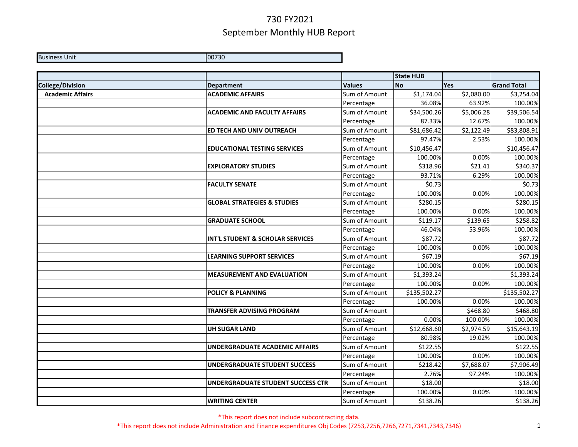Business Unit 00730

|                         |                                        |               | <b>State HUB</b> |            |                    |
|-------------------------|----------------------------------------|---------------|------------------|------------|--------------------|
| <b>College/Division</b> | <b>Department</b>                      | <b>Values</b> | <b>No</b>        | Yes        | <b>Grand Total</b> |
| <b>Academic Affairs</b> | <b>ACADEMIC AFFAIRS</b>                | Sum of Amount | \$1,174.04       | \$2,080.00 | \$3,254.04         |
|                         |                                        | Percentage    | 36.08%           | 63.92%     | 100.00%            |
|                         | <b>ACADEMIC AND FACULTY AFFAIRS</b>    | Sum of Amount | \$34,500.26      | \$5,006.28 | \$39,506.54        |
|                         |                                        | Percentage    | 87.33%           | 12.67%     | 100.00%            |
|                         | ED TECH AND UNIV OUTREACH              | Sum of Amount | \$81,686.42      | \$2,122.49 | \$83,808.91        |
|                         |                                        | Percentage    | 97.47%           | 2.53%      | 100.00%            |
|                         | <b>EDUCATIONAL TESTING SERVICES</b>    | Sum of Amount | \$10,456.47      |            | \$10,456.47        |
|                         |                                        | Percentage    | 100.00%          | 0.00%      | 100.00%            |
|                         | <b>EXPLORATORY STUDIES</b>             | Sum of Amount | \$318.96         | \$21.41    | \$340.37           |
|                         |                                        | Percentage    | 93.71%           | 6.29%      | 100.00%            |
|                         | <b>FACULTY SENATE</b>                  | Sum of Amount | \$0.73           |            | \$0.73             |
|                         |                                        | Percentage    | 100.00%          | 0.00%      | 100.00%            |
|                         | <b>GLOBAL STRATEGIES &amp; STUDIES</b> | Sum of Amount | \$280.15         |            | \$280.15           |
|                         |                                        | Percentage    | 100.00%          | 0.00%      | 100.00%            |
|                         | <b>GRADUATE SCHOOL</b>                 | Sum of Amount | \$119.17         | \$139.65   | \$258.82           |
|                         |                                        | Percentage    | 46.04%           | 53.96%     | 100.00%            |
|                         | INT'L STUDENT & SCHOLAR SERVICES       | Sum of Amount | \$87.72          |            | \$87.72            |
|                         |                                        | Percentage    | 100.00%          | 0.00%      | 100.00%            |
|                         | <b>LEARNING SUPPORT SERVICES</b>       | Sum of Amount | \$67.19          |            | \$67.19            |
|                         |                                        | Percentage    | 100.00%          | 0.00%      | 100.00%            |
|                         | <b>MEASUREMENT AND EVALUATION</b>      | Sum of Amount | \$1,393.24       |            | \$1,393.24         |
|                         |                                        | Percentage    | 100.00%          | 0.00%      | 100.00%            |
|                         | <b>POLICY &amp; PLANNING</b>           | Sum of Amount | \$135,502.27     |            | \$135,502.27       |
|                         |                                        | Percentage    | 100.00%          | 0.00%      | 100.00%            |
|                         | <b>TRANSFER ADVISING PROGRAM</b>       | Sum of Amount |                  | \$468.80   | \$468.80           |
|                         |                                        | Percentage    | 0.00%            | 100.00%    | 100.00%            |
|                         | <b>UH SUGAR LAND</b>                   | Sum of Amount | \$12,668.60      | \$2,974.59 | \$15,643.19        |
|                         |                                        | Percentage    | 80.98%           | 19.02%     | 100.00%            |
|                         | <b>UNDERGRADUATE ACADEMIC AFFAIRS</b>  | Sum of Amount | \$122.55         |            | \$122.55           |
|                         |                                        | Percentage    | 100.00%          | 0.00%      | 100.00%            |
|                         | <b>UNDERGRADUATE STUDENT SUCCESS</b>   | Sum of Amount | \$218.42         | \$7,688.07 | \$7,906.49         |
|                         |                                        | Percentage    | 2.76%            | 97.24%     | 100.00%            |
|                         | UNDERGRADUATE STUDENT SUCCESS CTR      | Sum of Amount | \$18.00          |            | \$18.00            |
|                         |                                        | Percentage    | 100.00%          | 0.00%      | 100.00%            |
|                         | <b>WRITING CENTER</b>                  | Sum of Amount | \$138.26         |            | \$138.26           |

\*This report does not include subcontracting data.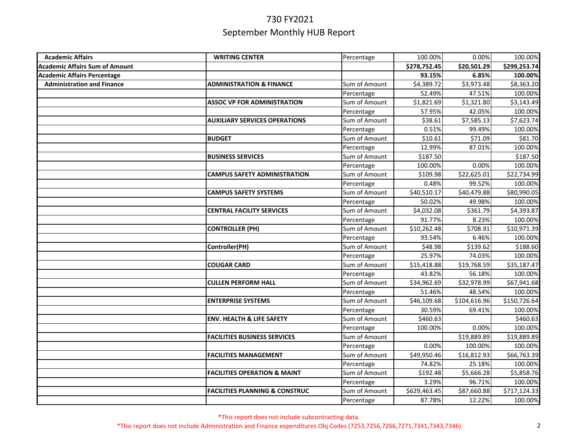| <b>Academic Affairs</b>               | <b>WRITING CENTER</b>                     | Percentage    | 100.00%      | 0.00%        | 100.00%      |
|---------------------------------------|-------------------------------------------|---------------|--------------|--------------|--------------|
| <b>Academic Affairs Sum of Amount</b> |                                           |               | \$278,752.45 | \$20,501.29  | \$299,253.74 |
| <b>Academic Affairs Percentage</b>    |                                           |               | 93.15%       | 6.85%        | 100.00%      |
| <b>Administration and Finance</b>     | <b>ADMINISTRATION &amp; FINANCE</b>       | Sum of Amount | \$4,389.72   | \$3,973.48   | \$8,363.20   |
|                                       |                                           | Percentage    | 52.49%       | 47.51%       | 100.00%      |
|                                       | <b>ASSOC VP FOR ADMINISTRATION</b>        | Sum of Amount | \$1,821.69   | \$1,321.80   | \$3,143.49   |
|                                       |                                           | Percentage    | 57.95%       | 42.05%       | 100.00%      |
|                                       | <b>AUXILIARY SERVICES OPERATIONS</b>      | Sum of Amount | \$38.61      | \$7,585.13   | \$7,623.74   |
|                                       |                                           | Percentage    | 0.51%        | 99.49%       | 100.00%      |
|                                       | <b>BUDGET</b>                             | Sum of Amount | \$10.61      | \$71.09      | \$81.70      |
|                                       |                                           | Percentage    | 12.99%       | 87.01%       | 100.00%      |
|                                       | <b>BUSINESS SERVICES</b>                  | Sum of Amount | \$187.50     |              | \$187.50     |
|                                       |                                           | Percentage    | 100.00%      | 0.00%        | 100.00%      |
|                                       | <b>CAMPUS SAFETY ADMINISTRATION</b>       | Sum of Amount | \$109.98     | \$22,625.01  | \$22,734.99  |
|                                       |                                           | Percentage    | 0.48%        | 99.52%       | 100.00%      |
|                                       | <b>CAMPUS SAFETY SYSTEMS</b>              | Sum of Amount | \$40,510.17  | \$40,479.88  | \$80,990.05  |
|                                       |                                           | Percentage    | 50.02%       | 49.98%       | 100.00%      |
|                                       | <b>CENTRAL FACILITY SERVICES</b>          | Sum of Amount | \$4,032.08   | \$361.79     | \$4,393.87   |
|                                       |                                           | Percentage    | 91.77%       | 8.23%        | 100.00%      |
|                                       | <b>CONTROLLER (PH)</b>                    | Sum of Amount | \$10,262.48  | \$708.91     | \$10,971.39  |
|                                       |                                           | Percentage    | 93.54%       | 6.46%        | 100.00%      |
|                                       | Controller(PH)                            | Sum of Amount | \$48.98      | \$139.62     | \$188.60     |
|                                       |                                           | Percentage    | 25.97%       | 74.03%       | 100.00%      |
|                                       | <b>COUGAR CARD</b>                        | Sum of Amount | \$15,418.88  | \$19,768.59  | \$35,187.47  |
|                                       |                                           | Percentage    | 43.82%       | 56.18%       | 100.00%      |
|                                       | <b>CULLEN PERFORM HALL</b>                | Sum of Amount | \$34,962.69  | \$32,978.99  | \$67,941.68  |
|                                       |                                           | Percentage    | 51.46%       | 48.54%       | 100.00%      |
|                                       | <b>ENTERPRISE SYSTEMS</b>                 | Sum of Amount | \$46,109.68  | \$104,616.96 | \$150,726.64 |
|                                       |                                           | Percentage    | 30.59%       | 69.41%       | 100.00%      |
|                                       | <b>ENV. HEALTH &amp; LIFE SAFETY</b>      | Sum of Amount | \$460.63     |              | \$460.63     |
|                                       |                                           | Percentage    | 100.00%      | 0.00%        | 100.00%      |
|                                       | <b>FACILITIES BUSINESS SERVICES</b>       | Sum of Amount |              | \$19,889.89  | \$19,889.89  |
|                                       |                                           | Percentage    | 0.00%        | 100.00%      | 100.00%      |
|                                       | <b>FACILITIES MANAGEMENT</b>              | Sum of Amount | \$49,950.46  | \$16,812.93  | \$66,763.39  |
|                                       |                                           | Percentage    | 74.82%       | 25.18%       | 100.00%      |
|                                       | <b>FACILITIES OPERATION &amp; MAINT</b>   | Sum of Amount | \$192.48     | \$5,666.28   | \$5,858.76   |
|                                       |                                           | Percentage    | 3.29%        | 96.71%       | 100.00%      |
|                                       | <b>FACILITIES PLANNING &amp; CONSTRUC</b> | Sum of Amount | \$629,463.45 | \$87,660.88  | \$717,124.33 |
|                                       |                                           | Percentage    | 87.78%       | 12.22%       | 100.00%      |

\*This report does not include subcontracting data.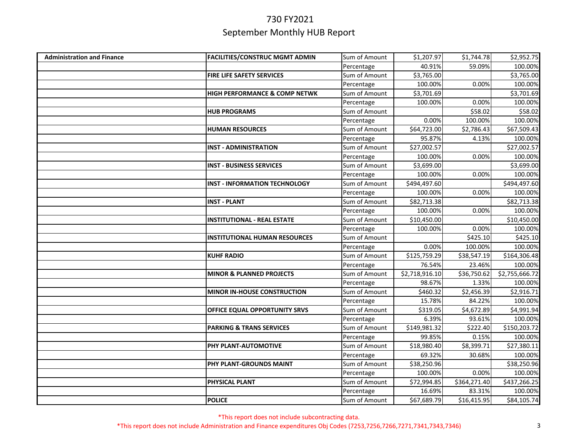| <b>Administration and Finance</b> | <b>FACILITIES/CONSTRUC MGMT ADMIN</b>    | Sum of Amount | \$1,207.97     | \$1,744.78   | \$2,952.75     |
|-----------------------------------|------------------------------------------|---------------|----------------|--------------|----------------|
|                                   |                                          | Percentage    | 40.91%         | 59.09%       | 100.00%        |
|                                   | FIRE LIFE SAFETY SERVICES                | Sum of Amount | \$3,765.00     |              | \$3,765.00     |
|                                   |                                          | Percentage    | 100.00%        | 0.00%        | 100.00%        |
|                                   | <b>HIGH PERFORMANCE &amp; COMP NETWK</b> | Sum of Amount | \$3,701.69     |              | \$3,701.69     |
|                                   |                                          | Percentage    | 100.00%        | 0.00%        | 100.00%        |
|                                   | <b>HUB PROGRAMS</b>                      | Sum of Amount |                | \$58.02      | \$58.02        |
|                                   |                                          | Percentage    | 0.00%          | 100.00%      | 100.00%        |
|                                   | <b>HUMAN RESOURCES</b>                   | Sum of Amount | \$64,723.00    | \$2,786.43   | \$67,509.43    |
|                                   |                                          | Percentage    | 95.87%         | 4.13%        | 100.00%        |
|                                   | <b>INST - ADMINISTRATION</b>             | Sum of Amount | \$27,002.57    |              | \$27,002.57    |
|                                   |                                          | Percentage    | 100.00%        | 0.00%        | 100.00%        |
|                                   | <b>INST - BUSINESS SERVICES</b>          | Sum of Amount | \$3,699.00     |              | \$3,699.00     |
|                                   |                                          | Percentage    | 100.00%        | 0.00%        | 100.00%        |
|                                   | <b>INST - INFORMATION TECHNOLOGY</b>     | Sum of Amount | \$494,497.60   |              | \$494,497.60   |
|                                   |                                          | Percentage    | 100.00%        | 0.00%        | 100.00%        |
|                                   | <b>INST - PLANT</b>                      | Sum of Amount | \$82,713.38    |              | \$82,713.38    |
|                                   |                                          | Percentage    | 100.00%        | 0.00%        | 100.00%        |
|                                   | <b>INSTITUTIONAL - REAL ESTATE</b>       | Sum of Amount | \$10,450.00    |              | \$10,450.00    |
|                                   |                                          | Percentage    | 100.00%        | 0.00%        | 100.00%        |
|                                   | <b>INSTITUTIONAL HUMAN RESOURCES</b>     | Sum of Amount |                | \$425.10     | \$425.10       |
|                                   |                                          | Percentage    | 0.00%          | 100.00%      | 100.00%        |
|                                   | <b>KUHF RADIO</b>                        | Sum of Amount | \$125,759.29   | \$38,547.19  | \$164,306.48   |
|                                   |                                          | Percentage    | 76.54%         | 23.46%       | 100.00%        |
|                                   | <b>MINOR &amp; PLANNED PROJECTS</b>      | Sum of Amount | \$2,718,916.10 | \$36,750.62  | \$2,755,666.72 |
|                                   |                                          | Percentage    | 98.67%         | 1.33%        | 100.00%        |
|                                   | <b>MINOR IN-HOUSE CONSTRUCTION</b>       | Sum of Amount | \$460.32       | \$2,456.39   | \$2,916.71     |
|                                   |                                          | Percentage    | 15.78%         | 84.22%       | 100.00%        |
|                                   | OFFICE EQUAL OPPORTUNITY SRVS            | Sum of Amount | \$319.05       | \$4,672.89   | \$4,991.94     |
|                                   |                                          | Percentage    | 6.39%          | 93.61%       | 100.00%        |
|                                   | <b>PARKING &amp; TRANS SERVICES</b>      | Sum of Amount | \$149,981.32   | \$222.40     | \$150,203.72   |
|                                   |                                          | Percentage    | 99.85%         | 0.15%        | 100.00%        |
|                                   | PHY PLANT-AUTOMOTIVE                     | Sum of Amount | \$18,980.40    | \$8,399.71   | \$27,380.11    |
|                                   |                                          | Percentage    | 69.32%         | 30.68%       | 100.00%        |
|                                   | <b>PHY PLANT-GROUNDS MAINT</b>           | Sum of Amount | \$38,250.96    |              | \$38,250.96    |
|                                   |                                          | Percentage    | 100.00%        | 0.00%        | 100.00%        |
|                                   | PHYSICAL PLANT                           | Sum of Amount | \$72,994.85    | \$364,271.40 | \$437,266.25   |
|                                   |                                          | Percentage    | 16.69%         | 83.31%       | 100.00%        |
|                                   | <b>POLICE</b>                            | Sum of Amount | \$67,689.79    | \$16,415.95  | \$84,105.74    |

\*This report does not include subcontracting data.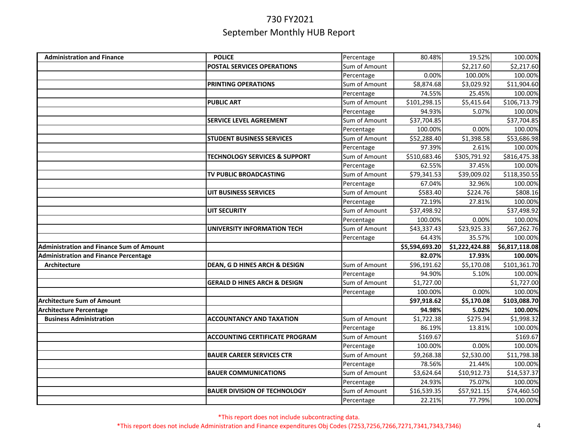| <b>Administration and Finance</b>               | <b>POLICE</b>                            | Percentage                  | 80.48%                | 19.52%                | 100.00%                |
|-------------------------------------------------|------------------------------------------|-----------------------------|-----------------------|-----------------------|------------------------|
|                                                 | POSTAL SERVICES OPERATIONS               | Sum of Amount               |                       | \$2,217.60            | \$2,217.60             |
|                                                 |                                          | Percentage                  | 0.00%                 | 100.00%               | 100.00%                |
|                                                 | PRINTING OPERATIONS                      | Sum of Amount               | \$8,874.68            | \$3,029.92            | \$11,904.60            |
|                                                 |                                          | Percentage                  | 74.55%                | 25.45%                | 100.00%                |
|                                                 | <b>PUBLIC ART</b>                        | Sum of Amount               | \$101,298.15          | \$5,415.64            | \$106,713.79           |
|                                                 |                                          | Percentage                  | 94.93%                | 5.07%                 | 100.00%                |
|                                                 | <b>SERVICE LEVEL AGREEMENT</b>           | Sum of Amount               | \$37,704.85           |                       | \$37,704.85            |
|                                                 |                                          | Percentage                  | 100.00%               | 0.00%                 | 100.00%                |
|                                                 | <b>STUDENT BUSINESS SERVICES</b>         | Sum of Amount               | \$52,288.40           | \$1,398.58            | \$53,686.98            |
|                                                 |                                          | Percentage                  | 97.39%                | 2.61%                 | 100.00%                |
|                                                 | <b>TECHNOLOGY SERVICES &amp; SUPPORT</b> | Sum of Amount               | \$510,683.46          | \$305,791.92          | \$816,475.38           |
|                                                 |                                          | Percentage                  | 62.55%                | 37.45%                | 100.00%                |
|                                                 | TV PUBLIC BROADCASTING                   | Sum of Amount               | \$79,341.53           | \$39,009.02           | \$118,350.55           |
|                                                 |                                          | Percentage                  | 67.04%                | 32.96%                | 100.00%                |
|                                                 | <b>UIT BUSINESS SERVICES</b>             | Sum of Amount               | \$583.40              | \$224.76              | \$808.16               |
|                                                 |                                          | Percentage                  | 72.19%                | 27.81%                | 100.00%                |
|                                                 | <b>UIT SECURITY</b>                      | Sum of Amount               | \$37,498.92           |                       | \$37,498.92            |
|                                                 |                                          | Percentage                  | 100.00%               | 0.00%                 | 100.00%                |
|                                                 | <b>UNIVERSITY INFORMATION TECH</b>       | Sum of Amount               | \$43,337.43           | \$23,925.33           | \$67,262.76            |
|                                                 |                                          | Percentage                  | 64.43%                | 35.57%                | 100.00%                |
| <b>Administration and Finance Sum of Amount</b> |                                          |                             | \$5,594,693.20        | \$1,222,424.88        | \$6,817,118.08         |
| <b>Administration and Finance Percentage</b>    |                                          |                             | 82.07%                | 17.93%                | 100.00%                |
| <b>Architecture</b>                             | DEAN, G D HINES ARCH & DESIGN            | Sum of Amount               | \$96,191.62           | \$5,170.08            | \$101,361.70           |
|                                                 |                                          | Percentage                  | 94.90%                | 5.10%                 | 100.00%                |
|                                                 | <b>GERALD D HINES ARCH &amp; DESIGN</b>  | Sum of Amount               | \$1,727.00            |                       | \$1,727.00             |
|                                                 |                                          | Percentage                  | 100.00%               | 0.00%                 | 100.00%                |
| <b>Architecture Sum of Amount</b>               |                                          |                             | \$97,918.62           | \$5,170.08            | \$103,088.70           |
| <b>Architecture Percentage</b>                  |                                          |                             | 94.98%                | 5.02%                 | 100.00%                |
| <b>Business Administration</b>                  | <b>ACCOUNTANCY AND TAXATION</b>          | Sum of Amount               | \$1,722.38            | \$275.94              | \$1,998.32             |
|                                                 |                                          | Percentage                  | 86.19%                | 13.81%                | 100.00%                |
|                                                 | <b>ACCOUNTING CERTIFICATE PROGRAM</b>    | Sum of Amount               | \$169.67              |                       | \$169.67               |
|                                                 |                                          | Percentage                  | 100.00%               | 0.00%                 | 100.00%                |
|                                                 | <b>BAUER CAREER SERVICES CTR</b>         | Sum of Amount               | \$9,268.38            | \$2,530.00            | \$11,798.38            |
|                                                 |                                          | Percentage                  | 78.56%                | 21.44%                | 100.00%                |
|                                                 | <b>BAUER COMMUNICATIONS</b>              | Sum of Amount               | \$3,624.64            | \$10,912.73           | \$14,537.37            |
|                                                 |                                          |                             |                       |                       |                        |
|                                                 |                                          | Percentage                  | 24.93%                | 75.07%                | 100.00%                |
|                                                 | <b>BAUER DIVISION OF TECHNOLOGY</b>      | Sum of Amount<br>Percentage | \$16,539.35<br>22.21% | \$57,921.15<br>77.79% | \$74,460.50<br>100.00% |

\*This report does not include subcontracting data.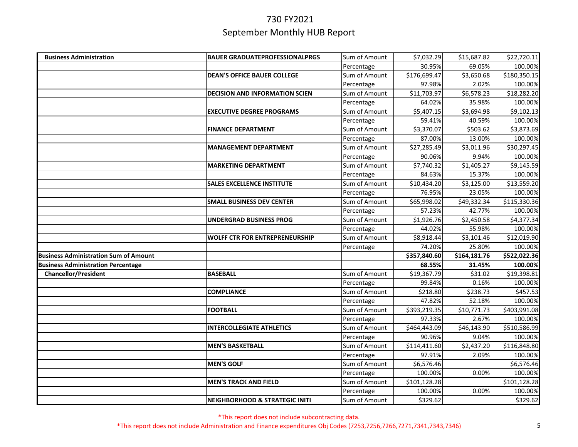| <b>Business Administration</b>               | <b>BAUER GRADUATEPROFESSIONALPRGS</b>     | Sum of Amount | \$7,032.29   | \$15,687.82  | \$22,720.11  |
|----------------------------------------------|-------------------------------------------|---------------|--------------|--------------|--------------|
|                                              |                                           | Percentage    | 30.95%       | 69.05%       | 100.00%      |
|                                              | <b>DEAN'S OFFICE BAUER COLLEGE</b>        | Sum of Amount | \$176,699.47 | \$3,650.68   | \$180,350.15 |
|                                              |                                           | Percentage    | 97.98%       | 2.02%        | 100.00%      |
|                                              | <b>DECISION AND INFORMATION SCIEN</b>     | Sum of Amount | \$11,703.97  | \$6,578.23   | \$18,282.20  |
|                                              |                                           | Percentage    | 64.02%       | 35.98%       | 100.00%      |
|                                              | <b>EXECUTIVE DEGREE PROGRAMS</b>          | Sum of Amount | \$5,407.15   | \$3,694.98   | \$9,102.13   |
|                                              |                                           | Percentage    | 59.41%       | 40.59%       | 100.00%      |
|                                              | <b>FINANCE DEPARTMENT</b>                 | Sum of Amount | \$3,370.07   | \$503.62     | \$3,873.69   |
|                                              |                                           | Percentage    | 87.00%       | 13.00%       | 100.00%      |
|                                              | <b>MANAGEMENT DEPARTMENT</b>              | Sum of Amount | \$27,285.49  | \$3,011.96   | \$30,297.45  |
|                                              |                                           | Percentage    | 90.06%       | 9.94%        | 100.00%      |
|                                              | <b>MARKETING DEPARTMENT</b>               | Sum of Amount | \$7,740.32   | \$1,405.27   | \$9,145.59   |
|                                              |                                           | Percentage    | 84.63%       | 15.37%       | 100.00%      |
|                                              | <b>SALES EXCELLENCE INSTITUTE</b>         | Sum of Amount | \$10,434.20  | \$3,125.00   | \$13,559.20  |
|                                              |                                           | Percentage    | 76.95%       | 23.05%       | 100.00%      |
|                                              | <b>SMALL BUSINESS DEV CENTER</b>          | Sum of Amount | \$65,998.02  | \$49,332.34  | \$115,330.36 |
|                                              |                                           | Percentage    | 57.23%       | 42.77%       | 100.00%      |
|                                              | <b>UNDERGRAD BUSINESS PROG</b>            | Sum of Amount | \$1,926.76   | \$2,450.58   | \$4,377.34   |
|                                              |                                           | Percentage    | 44.02%       | 55.98%       | 100.00%      |
|                                              | <b>WOLFF CTR FOR ENTREPRENEURSHIP</b>     | Sum of Amount | \$8,918.44   | \$3,101.46   | \$12,019.90  |
|                                              |                                           | Percentage    | 74.20%       | 25.80%       | 100.00%      |
| <b>Business Administration Sum of Amount</b> |                                           |               | \$357,840.60 | \$164,181.76 | \$522,022.36 |
| <b>Business Administration Percentage</b>    |                                           |               | 68.55%       | 31.45%       | 100.00%      |
| <b>Chancellor/President</b>                  | <b>BASEBALL</b>                           | Sum of Amount | \$19,367.79  | \$31.02      | \$19,398.81  |
|                                              |                                           | Percentage    | 99.84%       | 0.16%        | 100.00%      |
|                                              | <b>COMPLIANCE</b>                         | Sum of Amount | \$218.80     | \$238.73     | \$457.53     |
|                                              |                                           | Percentage    | 47.82%       | 52.18%       | 100.00%      |
|                                              | <b>FOOTBALL</b>                           | Sum of Amount | \$393,219.35 | \$10,771.73  | \$403,991.08 |
|                                              |                                           | Percentage    | 97.33%       | 2.67%        | 100.00%      |
|                                              | <b>INTERCOLLEGIATE ATHLETICS</b>          | Sum of Amount | \$464,443.09 | \$46,143.90  | \$510,586.99 |
|                                              |                                           | Percentage    | 90.96%       | 9.04%        | 100.00%      |
|                                              | <b>MEN'S BASKETBALL</b>                   | Sum of Amount | \$114,411.60 | \$2,437.20   | \$116,848.80 |
|                                              |                                           | Percentage    | 97.91%       | 2.09%        | 100.00%      |
|                                              | <b>MEN'S GOLF</b>                         | Sum of Amount | \$6,576.46   |              | \$6,576.46   |
|                                              |                                           | Percentage    | 100.00%      | 0.00%        | 100.00%      |
|                                              | <b>MEN'S TRACK AND FIELD</b>              | Sum of Amount | \$101,128.28 |              | \$101,128.28 |
|                                              |                                           | Percentage    | 100.00%      | 0.00%        | 100.00%      |
|                                              | <b>NEIGHBORHOOD &amp; STRATEGIC INITI</b> | Sum of Amount | \$329.62     |              | \$329.62     |

\*This report does not include subcontracting data.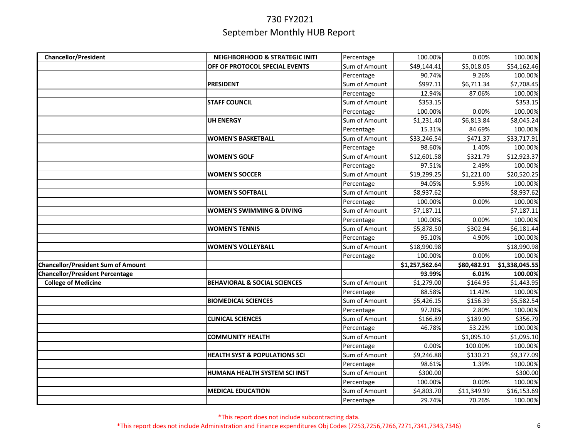| <b>Chancellor/President</b>               | <b>NEIGHBORHOOD &amp; STRATEGIC INITI</b> | Percentage    | 100.00%        | 0.00%       | 100.00%        |
|-------------------------------------------|-------------------------------------------|---------------|----------------|-------------|----------------|
|                                           | OFF OF PROTOCOL SPECIAL EVENTS            | Sum of Amount | \$49,144.41    | \$5,018.05  | \$54,162.46    |
|                                           |                                           | Percentage    | 90.74%         | 9.26%       | 100.00%        |
|                                           | <b>PRESIDENT</b>                          | Sum of Amount | \$997.11       | \$6,711.34  | \$7,708.45     |
|                                           |                                           | Percentage    | 12.94%         | 87.06%      | 100.00%        |
|                                           | <b>STAFF COUNCIL</b>                      | Sum of Amount | \$353.15       |             | \$353.15       |
|                                           |                                           | Percentage    | 100.00%        | 0.00%       | 100.00%        |
|                                           | <b>UH ENERGY</b>                          | Sum of Amount | \$1,231.40     | \$6,813.84  | \$8,045.24     |
|                                           |                                           | Percentage    | 15.31%         | 84.69%      | 100.00%        |
|                                           | <b>WOMEN'S BASKETBALL</b>                 | Sum of Amount | \$33,246.54    | \$471.37    | \$33,717.91    |
|                                           |                                           | Percentage    | 98.60%         | 1.40%       | 100.00%        |
|                                           | <b>WOMEN'S GOLF</b>                       | Sum of Amount | \$12,601.58    | \$321.79    | \$12,923.37    |
|                                           |                                           | Percentage    | 97.51%         | 2.49%       | 100.00%        |
|                                           | <b>WOMEN'S SOCCER</b>                     | Sum of Amount | \$19,299.25    | \$1,221.00  | \$20,520.25    |
|                                           |                                           | Percentage    | 94.05%         | 5.95%       | 100.00%        |
|                                           | <b>WOMEN'S SOFTBALL</b>                   | Sum of Amount | \$8,937.62     |             | \$8,937.62     |
|                                           |                                           | Percentage    | 100.00%        | 0.00%       | 100.00%        |
|                                           | <b>WOMEN'S SWIMMING &amp; DIVING</b>      | Sum of Amount | \$7,187.11     |             | \$7,187.11     |
|                                           |                                           | Percentage    | 100.00%        | 0.00%       | 100.00%        |
|                                           | <b>WOMEN'S TENNIS</b>                     | Sum of Amount | \$5,878.50     | \$302.94    | \$6,181.44     |
|                                           |                                           | Percentage    | 95.10%         | 4.90%       | 100.00%        |
|                                           | <b>WOMEN'S VOLLEYBALL</b>                 | Sum of Amount | \$18,990.98    |             | \$18,990.98    |
|                                           |                                           | Percentage    | 100.00%        | 0.00%       | 100.00%        |
| <b>Chancellor/President Sum of Amount</b> |                                           |               | \$1,257,562.64 | \$80,482.91 | \$1,338,045.55 |
| <b>Chancellor/President Percentage</b>    |                                           |               | 93.99%         | 6.01%       | 100.00%        |
| <b>College of Medicine</b>                | <b>BEHAVIORAL &amp; SOCIAL SCIENCES</b>   | Sum of Amount | \$1,279.00     | \$164.95    | \$1,443.95     |
|                                           |                                           | Percentage    | 88.58%         | 11.42%      | 100.00%        |
|                                           | <b>BIOMEDICAL SCIENCES</b>                | Sum of Amount | \$5,426.15     | \$156.39    | \$5,582.54     |
|                                           |                                           | Percentage    | 97.20%         | 2.80%       | 100.00%        |
|                                           | <b>CLINICAL SCIENCES</b>                  | Sum of Amount | \$166.89       | \$189.90    | \$356.79       |
|                                           |                                           | Percentage    | 46.78%         | 53.22%      | 100.00%        |
|                                           | <b>COMMUNITY HEALTH</b>                   | Sum of Amount |                | \$1,095.10  | \$1,095.10     |
|                                           |                                           | Percentage    | 0.00%          | 100.00%     | 100.00%        |
|                                           | <b>HEALTH SYST &amp; POPULATIONS SCI</b>  | Sum of Amount | \$9,246.88     | \$130.21    | \$9,377.09     |
|                                           |                                           | Percentage    | 98.61%         | 1.39%       | 100.00%        |
|                                           | HUMANA HEALTH SYSTEM SCI INST             | Sum of Amount | \$300.00       |             | \$300.00       |
|                                           |                                           | Percentage    | 100.00%        | 0.00%       | 100.00%        |
|                                           | <b>MEDICAL EDUCATION</b>                  | Sum of Amount | \$4,803.70     | \$11,349.99 | \$16,153.69    |
|                                           |                                           | Percentage    | 29.74%         | 70.26%      | 100.00%        |

\*This report does not include subcontracting data.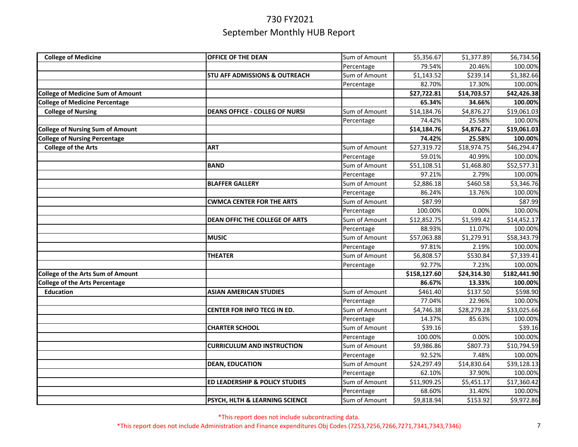| <b>College of Medicine</b>               | OFFICE OF THE DEAN                        | Sum of Amount | \$5,356.67   | \$1,377.89  | \$6,734.56   |
|------------------------------------------|-------------------------------------------|---------------|--------------|-------------|--------------|
|                                          |                                           | Percentage    | 79.54%       | 20.46%      | 100.00%      |
|                                          | <b>STU AFF ADMISSIONS &amp; OUTREACH</b>  | Sum of Amount | \$1,143.52   | \$239.14    | \$1,382.66   |
|                                          |                                           | Percentage    | 82.70%       | 17.30%      | 100.00%      |
| <b>College of Medicine Sum of Amount</b> |                                           |               | \$27,722.81  | \$14,703.57 | \$42,426.38  |
| <b>College of Medicine Percentage</b>    |                                           |               | 65.34%       | 34.66%      | 100.00%      |
| <b>College of Nursing</b>                | <b>DEANS OFFICE - COLLEG OF NURSI</b>     | Sum of Amount | \$14,184.76  | \$4,876.27  | \$19,061.03  |
|                                          |                                           | Percentage    | 74.42%       | 25.58%      | 100.00%      |
| <b>College of Nursing Sum of Amount</b>  |                                           |               | \$14,184.76  | \$4,876.27  | \$19,061.03  |
| <b>College of Nursing Percentage</b>     |                                           |               | 74.42%       | 25.58%      | 100.00%      |
| <b>College of the Arts</b>               | ART                                       | Sum of Amount | \$27,319.72  | \$18,974.75 | \$46,294.47  |
|                                          |                                           | Percentage    | 59.01%       | 40.99%      | 100.00%      |
|                                          | <b>BAND</b>                               | Sum of Amount | \$51,108.51  | \$1,468.80  | \$52,577.31  |
|                                          |                                           | Percentage    | 97.21%       | 2.79%       | 100.00%      |
|                                          | <b>BLAFFER GALLERY</b>                    | Sum of Amount | \$2,886.18   | \$460.58    | \$3,346.76   |
|                                          |                                           | Percentage    | 86.24%       | 13.76%      | 100.00%      |
|                                          | <b>CWMCA CENTER FOR THE ARTS</b>          | Sum of Amount | \$87.99      |             | \$87.99      |
|                                          |                                           | Percentage    | 100.00%      | 0.00%       | 100.00%      |
|                                          | <b>DEAN OFFIC THE COLLEGE OF ARTS</b>     | Sum of Amount | \$12,852.75  | \$1,599.42  | \$14,452.17  |
|                                          |                                           | Percentage    | 88.93%       | 11.07%      | 100.00%      |
|                                          | <b>MUSIC</b>                              | Sum of Amount | \$57,063.88  | \$1,279.91  | \$58,343.79  |
|                                          |                                           | Percentage    | 97.81%       | 2.19%       | 100.00%      |
|                                          | <b>THEATER</b>                            | Sum of Amount | \$6,808.57   | \$530.84    | \$7,339.41   |
|                                          |                                           | Percentage    | 92.77%       | 7.23%       | 100.00%      |
| College of the Arts Sum of Amount        |                                           |               | \$158,127.60 | \$24,314.30 | \$182,441.90 |
| <b>College of the Arts Percentage</b>    |                                           |               | 86.67%       | 13.33%      | 100.00%      |
| <b>Education</b>                         | <b>ASIAN AMERICAN STUDIES</b>             | Sum of Amount | \$461.40     | \$137.50    | \$598.90     |
|                                          |                                           | Percentage    | 77.04%       | 22.96%      | 100.00%      |
|                                          | CENTER FOR INFO TECG IN ED.               | Sum of Amount | \$4,746.38   | \$28,279.28 | \$33,025.66  |
|                                          |                                           | Percentage    | 14.37%       | 85.63%      | 100.00%      |
|                                          | <b>CHARTER SCHOOL</b>                     | Sum of Amount | \$39.16      |             | \$39.16      |
|                                          |                                           | Percentage    | 100.00%      | 0.00%       | 100.00%      |
|                                          | <b>CURRICULUM AND INSTRUCTION</b>         | Sum of Amount | \$9,986.86   | \$807.73    | \$10,794.59  |
|                                          |                                           | Percentage    | 92.52%       | 7.48%       | 100.00%      |
|                                          | <b>DEAN, EDUCATION</b>                    | Sum of Amount | \$24,297.49  | \$14,830.64 | \$39,128.13  |
|                                          |                                           | Percentage    | 62.10%       | 37.90%      | 100.00%      |
|                                          | <b>ED LEADERSHIP &amp; POLICY STUDIES</b> | Sum of Amount | \$11,909.25  | \$5,451.17  | \$17,360.42  |
|                                          |                                           | Percentage    | 68.60%       | 31.40%      | 100.00%      |
|                                          | PSYCH, HLTH & LEARNING SCIENCE            | Sum of Amount | \$9,818.94   | \$153.92    | \$9,972.86   |

\*This report does not include subcontracting data.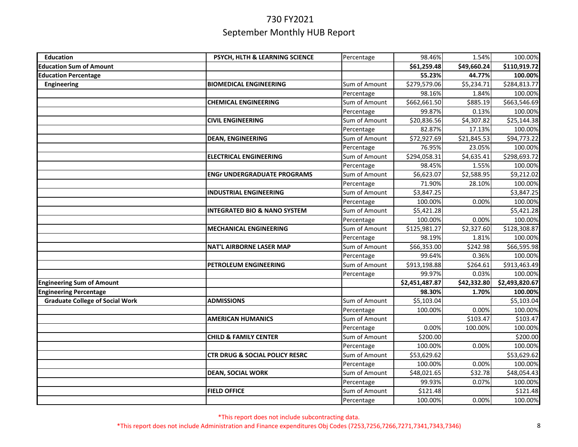| <b>Education</b>                       | PSYCH, HLTH & LEARNING SCIENCE            | Percentage    | 98.46%         | 1.54%       | 100.00%        |
|----------------------------------------|-------------------------------------------|---------------|----------------|-------------|----------------|
| <b>Education Sum of Amount</b>         |                                           |               | \$61,259.48    | \$49,660.24 | \$110,919.72   |
| <b>Education Percentage</b>            |                                           |               | 55.23%         | 44.77%      | 100.00%        |
| Engineering                            | <b>BIOMEDICAL ENGINEERING</b>             | Sum of Amount | \$279,579.06   | \$5,234.71  | \$284,813.77   |
|                                        |                                           | Percentage    | 98.16%         | 1.84%       | 100.00%        |
|                                        | <b>CHEMICAL ENGINEERING</b>               | Sum of Amount | \$662,661.50   | \$885.19    | \$663,546.69   |
|                                        |                                           | Percentage    | 99.87%         | 0.13%       | 100.00%        |
|                                        | <b>CIVIL ENGINEERING</b>                  | Sum of Amount | \$20,836.56    | \$4,307.82  | \$25,144.38    |
|                                        |                                           | Percentage    | 82.87%         | 17.13%      | 100.00%        |
|                                        | <b>DEAN, ENGINEERING</b>                  | Sum of Amount | \$72,927.69    | \$21,845.53 | \$94,773.22    |
|                                        |                                           | Percentage    | 76.95%         | 23.05%      | 100.00%        |
|                                        | <b>ELECTRICAL ENGINEERING</b>             | Sum of Amount | \$294,058.31   | \$4,635.41  | \$298,693.72   |
|                                        |                                           | Percentage    | 98.45%         | 1.55%       | 100.00%        |
|                                        | <b>ENGr UNDERGRADUATE PROGRAMS</b>        | Sum of Amount | \$6,623.07     | \$2,588.95  | \$9,212.02     |
|                                        |                                           | Percentage    | 71.90%         | 28.10%      | 100.00%        |
|                                        | <b>INDUSTRIAL ENGINEERING</b>             | Sum of Amount | \$3,847.25     |             | \$3,847.25     |
|                                        |                                           | Percentage    | 100.00%        | 0.00%       | 100.00%        |
|                                        | <b>INTEGRATED BIO &amp; NANO SYSTEM</b>   | Sum of Amount | \$5,421.28     |             | \$5,421.28     |
|                                        |                                           | Percentage    | 100.00%        | 0.00%       | 100.00%        |
|                                        | <b>MECHANICAL ENGINEERING</b>             | Sum of Amount | \$125,981.27   | \$2,327.60  | \$128,308.87   |
|                                        |                                           | Percentage    | 98.19%         | 1.81%       | 100.00%        |
|                                        | <b>NAT'L AIRBORNE LASER MAP</b>           | Sum of Amount | \$66,353.00    | \$242.98    | \$66,595.98    |
|                                        |                                           | Percentage    | 99.64%         | 0.36%       | 100.00%        |
|                                        | PETROLEUM ENGINEERING                     | Sum of Amount | \$913,198.88   | \$264.61    | \$913,463.49   |
|                                        |                                           | Percentage    | 99.97%         | 0.03%       | 100.00%        |
| <b>Engineering Sum of Amount</b>       |                                           |               | \$2,451,487.87 | \$42,332.80 | \$2,493,820.67 |
| <b>Engineering Percentage</b>          |                                           |               | 98.30%         | 1.70%       | 100.00%        |
| <b>Graduate College of Social Work</b> | <b>ADMISSIONS</b>                         | Sum of Amount | \$5,103.04     |             | \$5,103.04     |
|                                        |                                           | Percentage    | 100.00%        | 0.00%       | 100.00%        |
|                                        | <b>AMERICAN HUMANICS</b>                  | Sum of Amount |                | \$103.47    | \$103.47       |
|                                        |                                           | Percentage    | 0.00%          | 100.00%     | 100.00%        |
|                                        | <b>CHILD &amp; FAMILY CENTER</b>          | Sum of Amount | \$200.00       |             | \$200.00       |
|                                        |                                           | Percentage    | 100.00%        | 0.00%       | 100.00%        |
|                                        | <b>CTR DRUG &amp; SOCIAL POLICY RESRC</b> | Sum of Amount | \$53,629.62    |             | \$53,629.62    |
|                                        |                                           | Percentage    | 100.00%        | 0.00%       | 100.00%        |
|                                        | <b>DEAN, SOCIAL WORK</b>                  | Sum of Amount | \$48,021.65    | \$32.78     | \$48,054.43    |
|                                        |                                           | Percentage    | 99.93%         | 0.07%       | 100.00%        |
|                                        | <b>FIELD OFFICE</b>                       | Sum of Amount | \$121.48       |             | \$121.48       |
|                                        |                                           | Percentage    | 100.00%        | 0.00%       | 100.00%        |

\*This report does not include subcontracting data.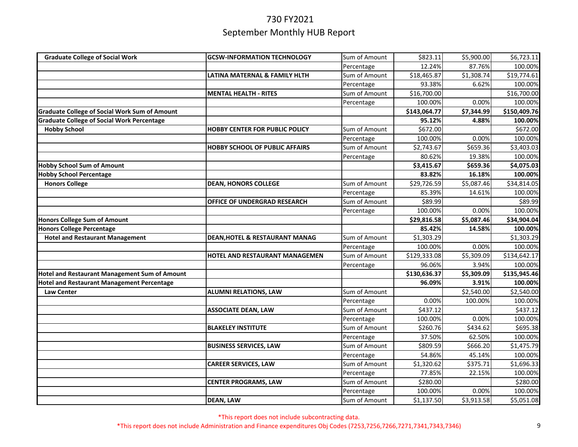| <b>Graduate College of Social Work</b>               | <b>GCSW-INFORMATION TECHNOLOGY</b>    | Sum of Amount | \$823.11     | \$5,900.00 | \$6,723.11           |
|------------------------------------------------------|---------------------------------------|---------------|--------------|------------|----------------------|
|                                                      |                                       | Percentage    | 12.24%       | 87.76%     | 100.00%              |
|                                                      | LATINA MATERNAL & FAMILY HLTH         | Sum of Amount | \$18,465.87  | \$1,308.74 | \$19,774.61          |
|                                                      |                                       | Percentage    | 93.38%       | 6.62%      | 100.00%              |
|                                                      | <b>MENTAL HEALTH - RITES</b>          | Sum of Amount | \$16,700.00  |            | \$16,700.00          |
|                                                      |                                       | Percentage    | 100.00%      | 0.00%      | 100.00%              |
| <b>Graduate College of Social Work Sum of Amount</b> |                                       |               | \$143,064.77 | \$7,344.99 | \$150,409.76         |
| <b>Graduate College of Social Work Percentage</b>    |                                       |               | 95.12%       | 4.88%      | 100.00%              |
| <b>Hobby School</b>                                  | HOBBY CENTER FOR PUBLIC POLICY        | Sum of Amount | \$672.00     |            | $\overline{$}672.00$ |
|                                                      |                                       | Percentage    | 100.00%      | 0.00%      | 100.00%              |
|                                                      | <b>HOBBY SCHOOL OF PUBLIC AFFAIRS</b> | Sum of Amount | \$2,743.67   | \$659.36   | \$3,403.03           |
|                                                      |                                       | Percentage    | 80.62%       | 19.38%     | 100.00%              |
| <b>Hobby School Sum of Amount</b>                    |                                       |               | \$3,415.67   | \$659.36   | \$4,075.03           |
| <b>Hobby School Percentage</b>                       |                                       |               | 83.82%       | 16.18%     | 100.00%              |
| <b>Honors College</b>                                | <b>DEAN, HONORS COLLEGE</b>           | Sum of Amount | \$29,726.59  | \$5,087.46 | \$34,814.05          |
|                                                      |                                       | Percentage    | 85.39%       | 14.61%     | 100.00%              |
|                                                      | OFFICE OF UNDERGRAD RESEARCH          | Sum of Amount | \$89.99      |            | \$89.99              |
|                                                      |                                       | Percentage    | 100.00%      | 0.00%      | 100.00%              |
| <b>Honors College Sum of Amount</b>                  |                                       |               | \$29,816.58  | \$5,087.46 | \$34,904.04          |
| <b>Honors College Percentage</b>                     |                                       |               | 85.42%       | 14.58%     | 100.00%              |
| <b>Hotel and Restaurant Management</b>               | DEAN, HOTEL & RESTAURANT MANAG        | Sum of Amount | \$1,303.29   |            | \$1,303.29           |
|                                                      |                                       | Percentage    | 100.00%      | 0.00%      | 100.00%              |
|                                                      | <b>HOTEL AND RESTAURANT MANAGEMEN</b> | Sum of Amount | \$129,333.08 | \$5,309.09 | \$134,642.17         |
|                                                      |                                       | Percentage    | 96.06%       | 3.94%      | 100.00%              |
| <b>Hotel and Restaurant Management Sum of Amount</b> |                                       |               | \$130,636.37 | \$5,309.09 | \$135,945.46         |
| <b>Hotel and Restaurant Management Percentage</b>    |                                       |               | 96.09%       | 3.91%      | 100.00%              |
| <b>Law Center</b>                                    | <b>ALUMNI RELATIONS, LAW</b>          | Sum of Amount |              | \$2,540.00 | \$2,540.00           |
|                                                      |                                       | Percentage    | 0.00%        | 100.00%    | 100.00%              |
|                                                      | <b>ASSOCIATE DEAN, LAW</b>            | Sum of Amount | \$437.12     |            | \$437.12             |
|                                                      |                                       | Percentage    | 100.00%      | 0.00%      | 100.00%              |
|                                                      | <b>BLAKELEY INSTITUTE</b>             | Sum of Amount | \$260.76     | \$434.62   | \$695.38             |
|                                                      |                                       | Percentage    | 37.50%       | 62.50%     | 100.00%              |
|                                                      | <b>BUSINESS SERVICES, LAW</b>         | Sum of Amount | \$809.59     | \$666.20   | \$1,475.79           |
|                                                      |                                       | Percentage    | 54.86%       | 45.14%     | 100.00%              |
|                                                      | <b>CAREER SERVICES, LAW</b>           | Sum of Amount | \$1,320.62   | \$375.71   | \$1,696.33           |
|                                                      |                                       | Percentage    | 77.85%       | 22.15%     | 100.00%              |
|                                                      | <b>CENTER PROGRAMS, LAW</b>           | Sum of Amount | \$280.00     |            | \$280.00             |
|                                                      |                                       | Percentage    | 100.00%      | 0.00%      | 100.00%              |
|                                                      | <b>DEAN, LAW</b>                      | Sum of Amount | \$1,137.50   | \$3,913.58 | \$5,051.08           |

\*This report does not include subcontracting data.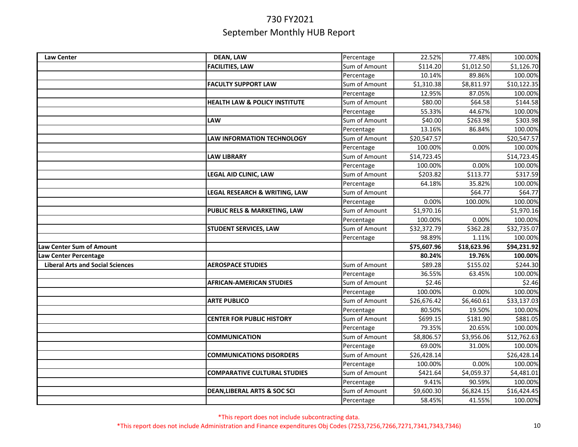| <b>Law Center</b>                       | <b>DEAN, LAW</b>                         | Percentage                  | 22.52%               | 77.48%               | 100.00%                |
|-----------------------------------------|------------------------------------------|-----------------------------|----------------------|----------------------|------------------------|
|                                         | <b>FACILITIES, LAW</b>                   | Sum of Amount               | \$114.20             | \$1,012.50           | \$1,126.70             |
|                                         |                                          | Percentage                  | 10.14%               | 89.86%               | 100.00%                |
|                                         | <b>FACULTY SUPPORT LAW</b>               | Sum of Amount               | \$1,310.38           | \$8,811.97           | \$10,122.35            |
|                                         |                                          | Percentage                  | 12.95%               | 87.05%               | 100.00%                |
|                                         | <b>HEALTH LAW &amp; POLICY INSTITUTE</b> | Sum of Amount               | \$80.00              | \$64.58              | \$144.58               |
|                                         |                                          | Percentage                  | 55.33%               | 44.67%               | 100.00%                |
|                                         | LAW                                      | Sum of Amount               | \$40.00              | \$263.98             | \$303.98               |
|                                         |                                          | Percentage                  | 13.16%               | 86.84%               | 100.00%                |
|                                         | LAW INFORMATION TECHNOLOGY               | Sum of Amount               | \$20,547.57          |                      | \$20,547.57            |
|                                         |                                          | Percentage                  | 100.00%              | 0.00%                | 100.00%                |
|                                         | <b>LAW LIBRARY</b>                       | Sum of Amount               | \$14,723.45          |                      | \$14,723.45            |
|                                         |                                          | Percentage                  | 100.00%              | 0.00%                | 100.00%                |
|                                         | <b>LEGAL AID CLINIC, LAW</b>             | Sum of Amount               | \$203.82             | \$113.77             | \$317.59               |
|                                         |                                          | Percentage                  | 64.18%               | 35.82%               | 100.00%                |
|                                         | LEGAL RESEARCH & WRITING, LAW            | Sum of Amount               |                      | \$64.77              | \$64.77                |
|                                         |                                          | Percentage                  | 0.00%                | 100.00%              | 100.00%                |
|                                         | PUBLIC RELS & MARKETING, LAW             | Sum of Amount               | \$1,970.16           |                      | \$1,970.16             |
|                                         |                                          | Percentage                  | 100.00%              | 0.00%                | 100.00%                |
|                                         | <b>STUDENT SERVICES, LAW</b>             | Sum of Amount               | \$32,372.79          | \$362.28             | \$32,735.07            |
|                                         |                                          | Percentage                  | 98.89%               | 1.11%                | 100.00%                |
| <b>Law Center Sum of Amount</b>         |                                          |                             | \$75,607.96          | \$18,623.96          | \$94,231.92            |
| aw Center Percentage                    |                                          |                             | 80.24%               | 19.76%               | 100.00%                |
| <b>Liberal Arts and Social Sciences</b> | <b>AEROSPACE STUDIES</b>                 | Sum of Amount               | \$89.28              | \$155.02             | \$244.30               |
|                                         |                                          | Percentage                  | 36.55%               | 63.45%               | 100.00%                |
|                                         | <b>AFRICAN-AMERICAN STUDIES</b>          | Sum of Amount               | \$2.46               |                      | \$2.46                 |
|                                         |                                          | Percentage                  | 100.00%              |                      |                        |
|                                         |                                          |                             |                      | 0.00%                | 100.00%                |
|                                         | <b>ARTE PUBLICO</b>                      | Sum of Amount               | \$26,676.42          | \$6,460.61           | \$33,137.03            |
|                                         |                                          | Percentage                  | 80.50%               | 19.50%               | 100.00%                |
|                                         | <b>CENTER FOR PUBLIC HISTORY</b>         | Sum of Amount               | \$699.15             | \$181.90             | \$881.05               |
|                                         |                                          | Percentage                  | 79.35%               | 20.65%               | 100.00%                |
|                                         | <b>COMMUNICATION</b>                     | Sum of Amount               | \$8,806.57           | \$3,956.06           | \$12,762.63            |
|                                         |                                          | Percentage                  | 69.00%               | 31.00%               | 100.00%                |
|                                         | <b>COMMUNICATIONS DISORDERS</b>          | Sum of Amount               | \$26,428.14          |                      | \$26,428.14            |
|                                         |                                          | Percentage                  | 100.00%              | 0.00%                | 100.00%                |
|                                         | <b>COMPARATIVE CULTURAL STUDIES</b>      | Sum of Amount               | \$421.64             | \$4,059.37           | \$4,481.01             |
|                                         |                                          | Percentage                  | 9.41%                | 90.59%               | 100.00%                |
|                                         | <b>DEAN, LIBERAL ARTS &amp; SOC SCI</b>  | Sum of Amount<br>Percentage | \$9,600.30<br>58.45% | \$6,824.15<br>41.55% | \$16,424.45<br>100.00% |

\*This report does not include subcontracting data.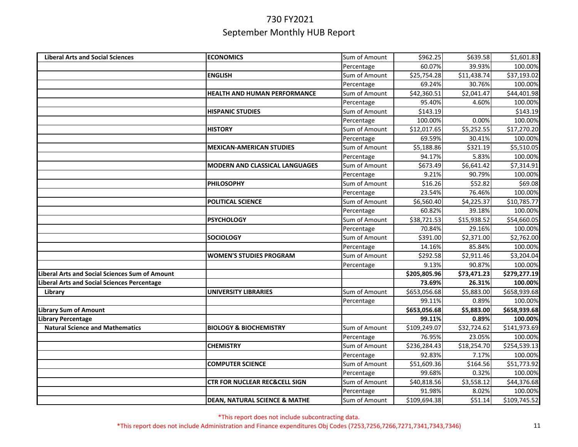| <b>Liberal Arts and Social Sciences</b>            | <b>ECONOMICS</b>                         | Sum of Amount | \$962.25     | \$639.58    | \$1,601.83   |
|----------------------------------------------------|------------------------------------------|---------------|--------------|-------------|--------------|
|                                                    |                                          | Percentage    | 60.07%       | 39.93%      | 100.00%      |
|                                                    | <b>ENGLISH</b>                           | Sum of Amount | \$25,754.28  | \$11,438.74 | \$37,193.02  |
|                                                    |                                          | Percentage    | 69.24%       | 30.76%      | 100.00%      |
|                                                    | HEALTH AND HUMAN PERFORMANCE             | Sum of Amount | \$42,360.51  | \$2,041.47  | \$44,401.98  |
|                                                    |                                          | Percentage    | 95.40%       | 4.60%       | 100.00%      |
|                                                    | <b>HISPANIC STUDIES</b>                  | Sum of Amount | \$143.19     |             | \$143.19     |
|                                                    |                                          | Percentage    | 100.00%      | 0.00%       | 100.00%      |
|                                                    | <b>HISTORY</b>                           | Sum of Amount | \$12,017.65  | \$5,252.55  | \$17,270.20  |
|                                                    |                                          | Percentage    | 69.59%       | 30.41%      | 100.00%      |
|                                                    | <b>MEXICAN-AMERICAN STUDIES</b>          | Sum of Amount | \$5,188.86   | \$321.19    | \$5,510.05   |
|                                                    |                                          | Percentage    | 94.17%       | 5.83%       | 100.00%      |
|                                                    | <b>MODERN AND CLASSICAL LANGUAGES</b>    | Sum of Amount | \$673.49     | \$6,641.42  | \$7,314.91   |
|                                                    |                                          | Percentage    | 9.21%        | 90.79%      | 100.00%      |
|                                                    | <b>PHILOSOPHY</b>                        | Sum of Amount | \$16.26      | \$52.82     | \$69.08      |
|                                                    |                                          | Percentage    | 23.54%       | 76.46%      | 100.00%      |
|                                                    | POLITICAL SCIENCE                        | Sum of Amount | \$6,560.40   | \$4,225.37  | \$10,785.77  |
|                                                    |                                          | Percentage    | 60.82%       | 39.18%      | 100.00%      |
|                                                    | <b>PSYCHOLOGY</b>                        | Sum of Amount | \$38,721.53  | \$15,938.52 | \$54,660.05  |
|                                                    |                                          | Percentage    | 70.84%       | 29.16%      | 100.00%      |
|                                                    | <b>SOCIOLOGY</b>                         | Sum of Amount | \$391.00     | \$2,371.00  | \$2,762.00   |
|                                                    |                                          | Percentage    | 14.16%       | 85.84%      | 100.00%      |
|                                                    | <b>WOMEN'S STUDIES PROGRAM</b>           | Sum of Amount | \$292.58     | \$2,911.46  | \$3,204.04   |
|                                                    |                                          | Percentage    | 9.13%        | 90.87%      | 100.00%      |
| Liberal Arts and Social Sciences Sum of Amount     |                                          |               | \$205,805.96 | \$73,471.23 | \$279,277.19 |
| <b>Liberal Arts and Social Sciences Percentage</b> |                                          |               | 73.69%       | 26.31%      | 100.00%      |
| Library                                            | <b>UNIVERSITY LIBRARIES</b>              | Sum of Amount | \$653,056.68 | \$5,883.00  | \$658,939.68 |
|                                                    |                                          | Percentage    | 99.11%       | 0.89%       | 100.00%      |
| <b>Library Sum of Amount</b>                       |                                          |               | \$653,056.68 | \$5,883.00  | \$658,939.68 |
| <b>Library Percentage</b>                          |                                          |               | 99.11%       | 0.89%       | 100.00%      |
| <b>Natural Science and Mathematics</b>             | <b>BIOLOGY &amp; BIOCHEMISTRY</b>        | Sum of Amount | \$109,249.07 | \$32,724.62 | \$141,973.69 |
|                                                    |                                          | Percentage    | 76.95%       | 23.05%      | 100.00%      |
|                                                    | <b>CHEMISTRY</b>                         | Sum of Amount | \$236,284.43 | \$18,254.70 | \$254,539.13 |
|                                                    |                                          | Percentage    | 92.83%       | 7.17%       | 100.00%      |
|                                                    | <b>COMPUTER SCIENCE</b>                  | Sum of Amount | \$51,609.36  | \$164.56    | \$51,773.92  |
|                                                    |                                          | Percentage    | 99.68%       | 0.32%       | 100.00%      |
|                                                    | <b>CTR FOR NUCLEAR REC&amp;CELL SIGN</b> | Sum of Amount | \$40,818.56  | \$3,558.12  | \$44,376.68  |
|                                                    |                                          | Percentage    | 91.98%       | 8.02%       | 100.00%      |
|                                                    | <b>DEAN, NATURAL SCIENCE &amp; MATHE</b> | Sum of Amount | \$109,694.38 | \$51.14     | \$109,745.52 |

\*This report does not include subcontracting data.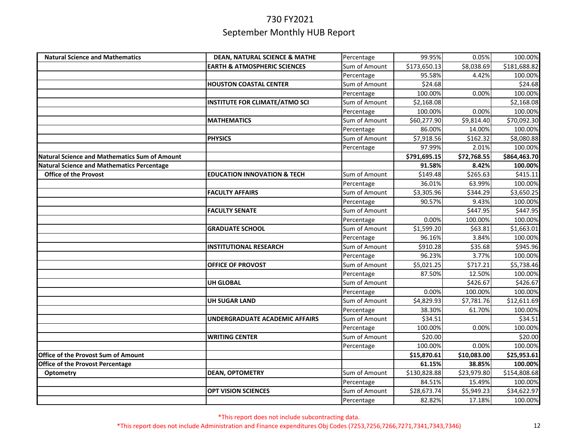| <b>Natural Science and Mathematics</b>               | <b>DEAN, NATURAL SCIENCE &amp; MATHE</b> | Percentage    | 99.95%       | 0.05%       | 100.00%      |
|------------------------------------------------------|------------------------------------------|---------------|--------------|-------------|--------------|
|                                                      | <b>EARTH &amp; ATMOSPHERIC SCIENCES</b>  | Sum of Amount | \$173,650.13 | \$8,038.69  | \$181,688.82 |
|                                                      |                                          | Percentage    | 95.58%       | 4.42%       | 100.00%      |
|                                                      | <b>HOUSTON COASTAL CENTER</b>            | Sum of Amount | \$24.68      |             | \$24.68      |
|                                                      |                                          | Percentage    | 100.00%      | 0.00%       | 100.00%      |
|                                                      | <b>INSTITUTE FOR CLIMATE/ATMO SCI</b>    | Sum of Amount | \$2,168.08   |             | \$2,168.08   |
|                                                      |                                          | Percentage    | 100.00%      | 0.00%       | 100.00%      |
|                                                      | <b>MATHEMATICS</b>                       | Sum of Amount | \$60,277.90  | \$9,814.40  | \$70,092.30  |
|                                                      |                                          | Percentage    | 86.00%       | 14.00%      | 100.00%      |
|                                                      | <b>PHYSICS</b>                           | Sum of Amount | \$7,918.56   | \$162.32    | \$8,080.88   |
|                                                      |                                          | Percentage    | 97.99%       | 2.01%       | 100.00%      |
| <b>Natural Science and Mathematics Sum of Amount</b> |                                          |               | \$791,695.15 | \$72,768.55 | \$864,463.70 |
| <b>Natural Science and Mathematics Percentage</b>    |                                          |               | 91.58%       | 8.42%       | 100.00%      |
| <b>Office of the Provost</b>                         | <b>EDUCATION INNOVATION &amp; TECH</b>   | Sum of Amount | \$149.48     | \$265.63    | \$415.11     |
|                                                      |                                          | Percentage    | 36.01%       | 63.99%      | 100.00%      |
|                                                      | <b>FACULTY AFFAIRS</b>                   | Sum of Amount | \$3,305.96   | \$344.29    | \$3,650.25   |
|                                                      |                                          | Percentage    | 90.57%       | 9.43%       | 100.00%      |
|                                                      | <b>FACULTY SENATE</b>                    | Sum of Amount |              | \$447.95    | \$447.95     |
|                                                      |                                          | Percentage    | 0.00%        | 100.00%     | 100.00%      |
|                                                      | <b>GRADUATE SCHOOL</b>                   | Sum of Amount | \$1,599.20   | \$63.81     | \$1,663.01   |
|                                                      |                                          | Percentage    | 96.16%       | 3.84%       | 100.00%      |
|                                                      | <b>INSTITUTIONAL RESEARCH</b>            | Sum of Amount | \$910.28     | \$35.68     | \$945.96     |
|                                                      |                                          | Percentage    | 96.23%       | 3.77%       | 100.00%      |
|                                                      | <b>OFFICE OF PROVOST</b>                 | Sum of Amount | \$5,021.25   | \$717.21    | \$5,738.46   |
|                                                      |                                          | Percentage    | 87.50%       | 12.50%      | 100.00%      |
|                                                      | <b>UH GLOBAL</b>                         | Sum of Amount |              | \$426.67    | \$426.67     |
|                                                      |                                          | Percentage    | 0.00%        | 100.00%     | 100.00%      |
|                                                      | <b>UH SUGAR LAND</b>                     | Sum of Amount | \$4,829.93   | \$7,781.76  | \$12,611.69  |
|                                                      |                                          | Percentage    | 38.30%       | 61.70%      | 100.00%      |
|                                                      | <b>UNDERGRADUATE ACADEMIC AFFAIRS</b>    | Sum of Amount | \$34.51      |             | \$34.51      |
|                                                      |                                          | Percentage    | 100.00%      | 0.00%       | 100.00%      |
|                                                      | <b>WRITING CENTER</b>                    | Sum of Amount | \$20.00      |             | \$20.00      |
|                                                      |                                          | Percentage    | 100.00%      | 0.00%       | 100.00%      |
| Office of the Provost Sum of Amount                  |                                          |               | \$15,870.61  | \$10,083.00 | \$25,953.61  |
| Office of the Provost Percentage                     |                                          |               | 61.15%       | 38.85%      | 100.00%      |
| Optometry                                            | <b>DEAN, OPTOMETRY</b>                   | Sum of Amount | \$130,828.88 | \$23,979.80 | \$154,808.68 |
|                                                      |                                          | Percentage    | 84.51%       | 15.49%      | 100.00%      |
|                                                      | <b>OPT VISION SCIENCES</b>               | Sum of Amount | \$28,673.74  | \$5,949.23  | \$34,622.97  |
|                                                      |                                          | Percentage    | 82.82%       | 17.18%      | 100.00%      |

\*This report does not include subcontracting data.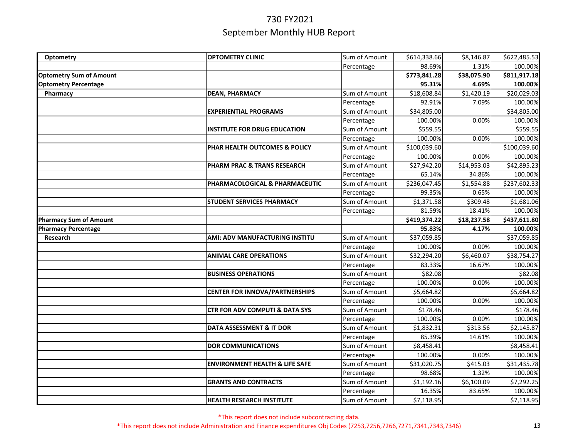| Optometry                      | <b>OPTOMETRY CLINIC</b>                   | Sum of Amount | \$614,338.66 | \$8,146.87  | \$622,485.53 |
|--------------------------------|-------------------------------------------|---------------|--------------|-------------|--------------|
|                                |                                           | Percentage    | 98.69%       | 1.31%       | 100.00%      |
| <b>Optometry Sum of Amount</b> |                                           |               | \$773,841.28 | \$38,075.90 | \$811,917.18 |
| <b>Optometry Percentage</b>    |                                           |               | 95.31%       | 4.69%       | 100.00%      |
| Pharmacy                       | <b>DEAN, PHARMACY</b>                     | Sum of Amount | \$18,608.84  | \$1,420.19  | \$20,029.03  |
|                                |                                           | Percentage    | 92.91%       | 7.09%       | 100.00%      |
|                                | <b>EXPERIENTIAL PROGRAMS</b>              | Sum of Amount | \$34,805.00  |             | \$34,805.00  |
|                                |                                           | Percentage    | 100.00%      | 0.00%       | 100.00%      |
|                                | <b>INSTITUTE FOR DRUG EDUCATION</b>       | Sum of Amount | \$559.55     |             | \$559.55     |
|                                |                                           | Percentage    | 100.00%      | 0.00%       | 100.00%      |
|                                | PHAR HEALTH OUTCOMES & POLICY             | Sum of Amount | \$100,039.60 |             | \$100,039.60 |
|                                |                                           | Percentage    | 100.00%      | 0.00%       | 100.00%      |
|                                | PHARM PRAC & TRANS RESEARCH               | Sum of Amount | \$27,942.20  | \$14,953.03 | \$42,895.23  |
|                                |                                           | Percentage    | 65.14%       | 34.86%      | 100.00%      |
|                                | PHARMACOLOGICAL & PHARMACEUTIC            | Sum of Amount | \$236,047.45 | \$1,554.88  | \$237,602.33 |
|                                |                                           | Percentage    | 99.35%       | 0.65%       | 100.00%      |
|                                | <b>STUDENT SERVICES PHARMACY</b>          | Sum of Amount | \$1,371.58   | \$309.48    | \$1,681.06   |
|                                |                                           | Percentage    | 81.59%       | 18.41%      | 100.00%      |
| <b>Pharmacy Sum of Amount</b>  |                                           |               | \$419,374.22 | \$18,237.58 | \$437,611.80 |
| <b>Pharmacy Percentage</b>     |                                           |               | 95.83%       | 4.17%       | 100.00%      |
| Research                       | AMI: ADV MANUFACTURING INSTITU            | Sum of Amount | \$37,059.85  |             | \$37,059.85  |
|                                |                                           | Percentage    | 100.00%      | 0.00%       | 100.00%      |
|                                | <b>ANIMAL CARE OPERATIONS</b>             | Sum of Amount | \$32,294.20  | \$6,460.07  | \$38,754.27  |
|                                |                                           | Percentage    | 83.33%       | 16.67%      | 100.00%      |
|                                | <b>BUSINESS OPERATIONS</b>                | Sum of Amount | \$82.08      |             | \$82.08      |
|                                |                                           | Percentage    | 100.00%      | 0.00%       | 100.00%      |
|                                | <b>CENTER FOR INNOVA/PARTNERSHIPS</b>     | Sum of Amount | \$5,664.82   |             | \$5,664.82   |
|                                |                                           | Percentage    | 100.00%      | 0.00%       | 100.00%      |
|                                | <b>CTR FOR ADV COMPUTI &amp; DATA SYS</b> | Sum of Amount | \$178.46     |             | \$178.46     |
|                                |                                           | Percentage    | 100.00%      | 0.00%       | 100.00%      |
|                                | DATA ASSESSMENT & IT DOR                  | Sum of Amount | \$1,832.31   | \$313.56    | \$2,145.87   |
|                                |                                           | Percentage    | 85.39%       | 14.61%      | 100.00%      |
|                                | <b>DOR COMMUNICATIONS</b>                 | Sum of Amount | \$8,458.41   |             | \$8,458.41   |
|                                |                                           | Percentage    | 100.00%      | 0.00%       | 100.00%      |
|                                | <b>ENVIRONMENT HEALTH &amp; LIFE SAFE</b> | Sum of Amount | \$31,020.75  | \$415.03    | \$31,435.78  |
|                                |                                           | Percentage    | 98.68%       | 1.32%       | 100.00%      |
|                                | <b>GRANTS AND CONTRACTS</b>               | Sum of Amount | \$1,192.16   | \$6,100.09  | \$7,292.25   |
|                                |                                           | Percentage    | 16.35%       | 83.65%      | 100.00%      |
|                                | <b>HEALTH RESEARCH INSTITUTE</b>          | Sum of Amount | \$7,118.95   |             | \$7,118.95   |

\*This report does not include subcontracting data.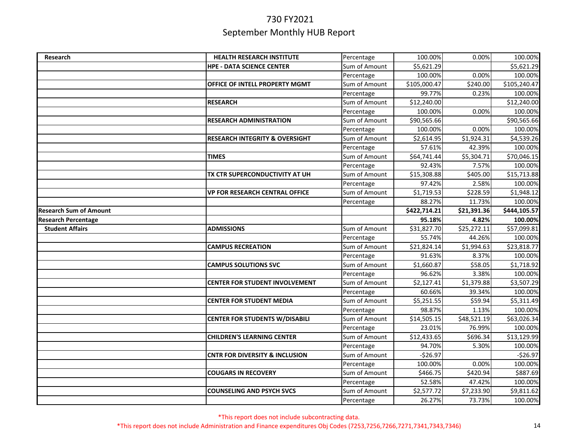| Research                      | HEALTH RESEARCH INSTITUTE                 |                             | 100.00%               | 0.00%       | 100.00%      |
|-------------------------------|-------------------------------------------|-----------------------------|-----------------------|-------------|--------------|
|                               |                                           | Percentage<br>Sum of Amount |                       |             | \$5,621.29   |
|                               | <b>HPE - DATA SCIENCE CENTER</b>          |                             | \$5,621.29<br>100.00% | 0.00%       | 100.00%      |
|                               |                                           | Percentage                  |                       |             |              |
|                               | OFFICE OF INTELL PROPERTY MGMT            | Sum of Amount               | \$105,000.47          | \$240.00    | \$105,240.47 |
|                               |                                           | Percentage                  | 99.77%                | 0.23%       | 100.00%      |
|                               | <b>RESEARCH</b>                           | Sum of Amount               | \$12,240.00           |             | \$12,240.00  |
|                               |                                           | Percentage                  | 100.00%               | 0.00%       | 100.00%      |
|                               | <b>RESEARCH ADMINISTRATION</b>            | Sum of Amount               | \$90,565.66           |             | \$90,565.66  |
|                               |                                           | Percentage                  | 100.00%               | 0.00%       | 100.00%      |
|                               | <b>RESEARCH INTEGRITY &amp; OVERSIGHT</b> | Sum of Amount               | \$2,614.95            | \$1,924.31  | \$4,539.26   |
|                               |                                           | Percentage                  | 57.61%                | 42.39%      | 100.00%      |
|                               | <b>TIMES</b>                              | Sum of Amount               | \$64,741.44           | \$5,304.71  | \$70,046.15  |
|                               |                                           | Percentage                  | 92.43%                | 7.57%       | 100.00%      |
|                               | TX CTR SUPERCONDUCTIVITY AT UH            | Sum of Amount               | \$15,308.88           | \$405.00    | \$15,713.88  |
|                               |                                           | Percentage                  | 97.42%                | 2.58%       | 100.00%      |
|                               | <b>VP FOR RESEARCH CENTRAL OFFICE</b>     | Sum of Amount               | \$1,719.53            | \$228.59    | \$1,948.12   |
|                               |                                           | Percentage                  | 88.27%                | 11.73%      | 100.00%      |
| <b>Research Sum of Amount</b> |                                           |                             | \$422,714.21          | \$21,391.36 | \$444,105.57 |
| <b>Research Percentage</b>    |                                           |                             | 95.18%                | 4.82%       | 100.00%      |
| <b>Student Affairs</b>        | <b>ADMISSIONS</b>                         | Sum of Amount               | \$31,827.70           | \$25,272.11 | \$57,099.81  |
|                               |                                           | Percentage                  | 55.74%                | 44.26%      | 100.00%      |
|                               | <b>CAMPUS RECREATION</b>                  | Sum of Amount               | \$21,824.14           | \$1,994.63  | \$23,818.77  |
|                               |                                           | Percentage                  | 91.63%                | 8.37%       | 100.00%      |
|                               | <b>CAMPUS SOLUTIONS SVC</b>               | Sum of Amount               | \$1,660.87            | \$58.05     | \$1,718.92   |
|                               |                                           | Percentage                  | 96.62%                | 3.38%       | 100.00%      |
|                               | <b>CENTER FOR STUDENT INVOLVEMENT</b>     | Sum of Amount               | \$2,127.41            | \$1,379.88  | \$3,507.29   |
|                               |                                           | Percentage                  | 60.66%                | 39.34%      | 100.00%      |
|                               | <b>CENTER FOR STUDENT MEDIA</b>           | Sum of Amount               | \$5,251.55            | \$59.94     | \$5,311.49   |
|                               |                                           | Percentage                  | 98.87%                | 1.13%       | 100.00%      |
|                               | <b>CENTER FOR STUDENTS W/DISABILI</b>     | Sum of Amount               | \$14,505.15           | \$48,521.19 | \$63,026.34  |
|                               |                                           | Percentage                  | 23.01%                | 76.99%      | 100.00%      |
|                               | <b>CHILDREN'S LEARNING CENTER</b>         | Sum of Amount               | \$12,433.65           | \$696.34    | \$13,129.99  |
|                               |                                           | Percentage                  | 94.70%                | 5.30%       | 100.00%      |
|                               | <b>CNTR FOR DIVERSITY &amp; INCLUSION</b> | Sum of Amount               | $-526.97$             |             | $-526.97$    |
|                               |                                           | Percentage                  | 100.00%               | 0.00%       | 100.00%      |
|                               | <b>COUGARS IN RECOVERY</b>                | Sum of Amount               | \$466.75              | \$420.94    | \$887.69     |
|                               |                                           | Percentage                  | 52.58%                | 47.42%      | 100.00%      |
|                               | <b>COUNSELING AND PSYCH SVCS</b>          | Sum of Amount               | \$2,577.72            | \$7,233.90  | \$9,811.62   |
|                               |                                           | Percentage                  | 26.27%                | 73.73%      | 100.00%      |
|                               |                                           |                             |                       |             |              |

\*This report does not include subcontracting data.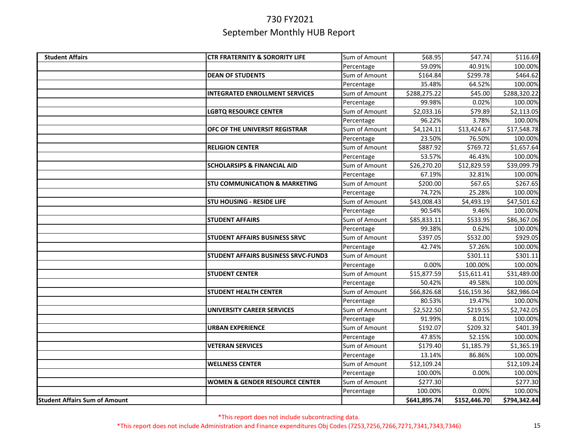| <b>Student Affairs</b>               | <b>CTR FRATERNITY &amp; SORORITY LIFE</b>  | Sum of Amount | \$68.95      | \$47.74      | \$116.69     |
|--------------------------------------|--------------------------------------------|---------------|--------------|--------------|--------------|
|                                      |                                            | Percentage    | 59.09%       | 40.91%       | 100.00%      |
|                                      | <b>DEAN OF STUDENTS</b>                    | Sum of Amount | \$164.84     | \$299.78     | \$464.62     |
|                                      |                                            | Percentage    | 35.48%       | 64.52%       | 100.00%      |
|                                      | <b>INTEGRATED ENROLLMENT SERVICES</b>      | Sum of Amount | \$288,275.22 | \$45.00      | \$288,320.22 |
|                                      |                                            | Percentage    | 99.98%       | 0.02%        | 100.00%      |
|                                      | <b>LGBTQ RESOURCE CENTER</b>               | Sum of Amount | \$2,033.16   | \$79.89      | \$2,113.05   |
|                                      |                                            | Percentage    | 96.22%       | 3.78%        | 100.00%      |
|                                      | OFC OF THE UNIVERSIT REGISTRAR             | Sum of Amount | \$4,124.11   | \$13,424.67  | \$17,548.78  |
|                                      |                                            | Percentage    | 23.50%       | 76.50%       | 100.00%      |
|                                      | <b>RELIGION CENTER</b>                     | Sum of Amount | \$887.92     | \$769.72     | \$1,657.64   |
|                                      |                                            | Percentage    | 53.57%       | 46.43%       | 100.00%      |
|                                      | <b>SCHOLARSIPS &amp; FINANCIAL AID</b>     | Sum of Amount | \$26,270.20  | \$12,829.59  | \$39,099.79  |
|                                      |                                            | Percentage    | 67.19%       | 32.81%       | 100.00%      |
|                                      | <b>STU COMMUNICATION &amp; MARKETING</b>   | Sum of Amount | \$200.00     | \$67.65      | \$267.65     |
|                                      |                                            | Percentage    | 74.72%       | 25.28%       | 100.00%      |
|                                      | <b>STU HOUSING - RESIDE LIFE</b>           | Sum of Amount | \$43,008.43  | \$4,493.19   | \$47,501.62  |
|                                      |                                            | Percentage    | 90.54%       | 9.46%        | 100.00%      |
|                                      | <b>STUDENT AFFAIRS</b>                     | Sum of Amount | \$85,833.11  | \$533.95     | \$86,367.06  |
|                                      |                                            | Percentage    | 99.38%       | 0.62%        | 100.00%      |
|                                      | <b>STUDENT AFFAIRS BUSINESS SRVC</b>       | Sum of Amount | \$397.05     | \$532.00     | \$929.05     |
|                                      |                                            | Percentage    | 42.74%       | 57.26%       | 100.00%      |
|                                      | <b>STUDENT AFFAIRS BUSINESS SRVC-FUND3</b> | Sum of Amount |              | \$301.11     | \$301.11     |
|                                      |                                            | Percentage    | 0.00%        | 100.00%      | 100.00%      |
|                                      | <b>STUDENT CENTER</b>                      | Sum of Amount | \$15,877.59  | \$15,611.41  | \$31,489.00  |
|                                      |                                            | Percentage    | 50.42%       | 49.58%       | 100.00%      |
|                                      | <b>STUDENT HEALTH CENTER</b>               | Sum of Amount | \$66,826.68  | \$16,159.36  | \$82,986.04  |
|                                      |                                            | Percentage    | 80.53%       | 19.47%       | 100.00%      |
|                                      | <b>UNIVERSITY CAREER SERVICES</b>          | Sum of Amount | \$2,522.50   | \$219.55     | \$2,742.05   |
|                                      |                                            | Percentage    | 91.99%       | 8.01%        | 100.00%      |
|                                      | <b>URBAN EXPERIENCE</b>                    | Sum of Amount | \$192.07     | \$209.32     | \$401.39     |
|                                      |                                            | Percentage    | 47.85%       | 52.15%       | 100.00%      |
|                                      | <b>VETERAN SERVICES</b>                    | Sum of Amount | \$179.40     | \$1,185.79   | \$1,365.19   |
|                                      |                                            | Percentage    | 13.14%       | 86.86%       | 100.00%      |
|                                      | <b>WELLNESS CENTER</b>                     | Sum of Amount | \$12,109.24  |              | \$12,109.24  |
|                                      |                                            | Percentage    | 100.00%      | 0.00%        | 100.00%      |
|                                      | <b>WOMEN &amp; GENDER RESOURCE CENTER</b>  | Sum of Amount | \$277.30     |              | \$277.30     |
|                                      |                                            | Percentage    | 100.00%      | 0.00%        | 100.00%      |
| <b>Student Affairs Sum of Amount</b> |                                            |               | \$641,895.74 | \$152,446.70 | \$794,342.44 |

\*This report does not include subcontracting data.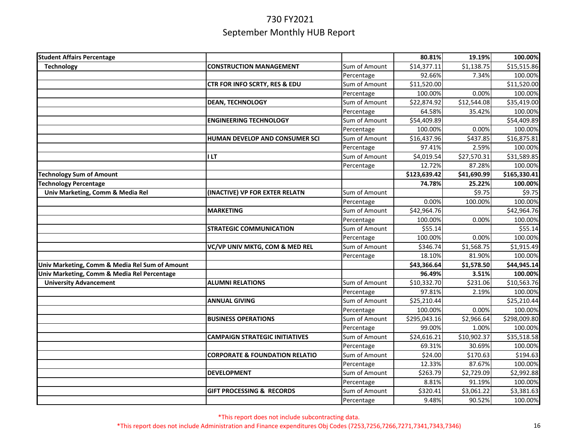| <b>Student Affairs Percentage</b>              |                                           |               | 80.81%       | 19.19%      | 100.00%      |
|------------------------------------------------|-------------------------------------------|---------------|--------------|-------------|--------------|
| <b>Technology</b>                              | <b>CONSTRUCTION MANAGEMENT</b>            | Sum of Amount | \$14,377.11  | \$1,138.75  | \$15,515.86  |
|                                                |                                           | Percentage    | 92.66%       | 7.34%       | 100.00%      |
|                                                | CTR FOR INFO SCRTY, RES & EDU             | Sum of Amount | \$11,520.00  |             | \$11,520.00  |
|                                                |                                           | Percentage    | 100.00%      | 0.00%       | 100.00%      |
|                                                | <b>DEAN, TECHNOLOGY</b>                   | Sum of Amount | \$22,874.92  | \$12,544.08 | \$35,419.00  |
|                                                |                                           | Percentage    | 64.58%       | 35.42%      | 100.00%      |
|                                                | <b>ENGINEERING TECHNOLOGY</b>             | Sum of Amount | \$54,409.89  |             | \$54,409.89  |
|                                                |                                           | Percentage    | 100.00%      | 0.00%       | 100.00%      |
|                                                | HUMAN DEVELOP AND CONSUMER SCI            | Sum of Amount | \$16,437.96  | \$437.85    | \$16,875.81  |
|                                                |                                           | Percentage    | 97.41%       | 2.59%       | 100.00%      |
|                                                | I LT                                      | Sum of Amount | \$4,019.54   | \$27,570.31 | \$31,589.85  |
|                                                |                                           | Percentage    | 12.72%       | 87.28%      | 100.00%      |
| <b>Technology Sum of Amount</b>                |                                           |               | \$123,639.42 | \$41,690.99 | \$165,330.41 |
| <b>Technology Percentage</b>                   |                                           |               | 74.78%       | 25.22%      | 100.00%      |
| Univ Marketing, Comm & Media Rel               | (INACTIVE) VP FOR EXTER RELATN            | Sum of Amount |              | \$9.75      | \$9.75       |
|                                                |                                           | Percentage    | 0.00%        | 100.00%     | 100.00%      |
|                                                | <b>MARKETING</b>                          | Sum of Amount | \$42,964.76  |             | \$42,964.76  |
|                                                |                                           | Percentage    | 100.00%      | 0.00%       | 100.00%      |
|                                                | <b>STRATEGIC COMMUNICATION</b>            | Sum of Amount | \$55.14      |             | \$55.14      |
|                                                |                                           | Percentage    | 100.00%      | 0.00%       | 100.00%      |
|                                                | VC/VP UNIV MKTG, COM & MED REL            | Sum of Amount | \$346.74     | \$1,568.75  | \$1,915.49   |
|                                                |                                           | Percentage    | 18.10%       | 81.90%      | 100.00%      |
| Univ Marketing, Comm & Media Rel Sum of Amount |                                           |               | \$43,366.64  | \$1,578.50  | \$44,945.14  |
| Univ Marketing, Comm & Media Rel Percentage    |                                           |               | 96.49%       | 3.51%       | 100.00%      |
| <b>University Advancement</b>                  | <b>ALUMNI RELATIONS</b>                   | Sum of Amount | \$10,332.70  | \$231.06    | \$10,563.76  |
|                                                |                                           | Percentage    | 97.81%       | 2.19%       | 100.00%      |
|                                                | <b>ANNUAL GIVING</b>                      | Sum of Amount | \$25,210.44  |             | \$25,210.44  |
|                                                |                                           | Percentage    | 100.00%      | 0.00%       | 100.00%      |
|                                                | <b>BUSINESS OPERATIONS</b>                | Sum of Amount | \$295,043.16 | \$2,966.64  | \$298,009.80 |
|                                                |                                           | Percentage    | 99.00%       | 1.00%       | 100.00%      |
|                                                | <b>CAMPAIGN STRATEGIC INITIATIVES</b>     | Sum of Amount | \$24,616.21  | \$10,902.37 | \$35,518.58  |
|                                                |                                           | Percentage    | 69.31%       | 30.69%      | 100.00%      |
|                                                | <b>CORPORATE &amp; FOUNDATION RELATIO</b> | Sum of Amount | \$24.00      | \$170.63    | \$194.63     |
|                                                |                                           | Percentage    | 12.33%       | 87.67%      | 100.00%      |
|                                                | <b>DEVELOPMENT</b>                        | Sum of Amount | \$263.79     | \$2,729.09  | \$2,992.88   |
|                                                |                                           | Percentage    | 8.81%        | 91.19%      | 100.00%      |
|                                                | <b>GIFT PROCESSING &amp; RECORDS</b>      | Sum of Amount | \$320.41     | \$3,061.22  | \$3,381.63   |
|                                                |                                           | Percentage    | 9.48%        | 90.52%      | 100.00%      |

\*This report does not include subcontracting data.